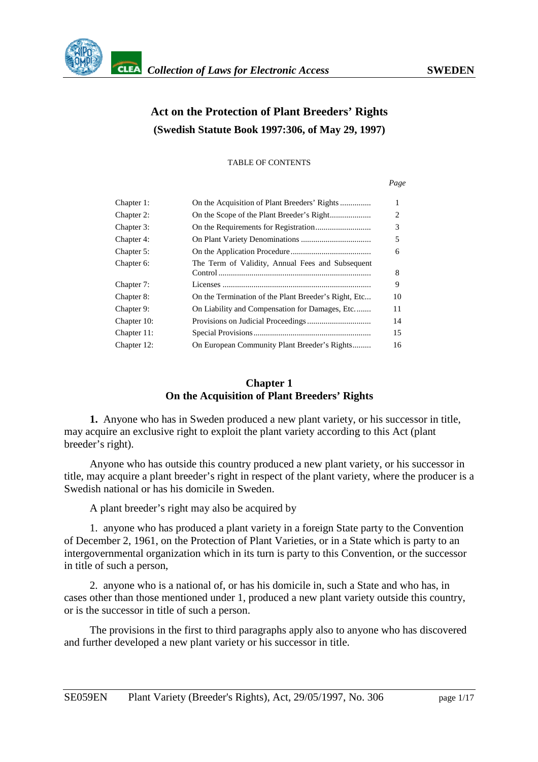

# **Act on the Protection of Plant Breeders' Rights (Swedish Statute Book 1997:306, of May 29, 1997)**

TABLE OF CONTENTS

*Page*

| Chapter 1:  |                                                      | 1  |
|-------------|------------------------------------------------------|----|
| Chapter 2:  |                                                      | 2  |
| Chapter 3:  |                                                      | 3  |
| Chapter 4:  |                                                      | 5  |
| Chapter 5:  |                                                      | 6  |
| Chapter 6:  | The Term of Validity, Annual Fees and Subsequent     | 8  |
| Chapter 7:  |                                                      | 9  |
| Chapter 8:  | On the Termination of the Plant Breeder's Right, Etc | 10 |
| Chapter 9:  | On Liability and Compensation for Damages, Etc       | 11 |
| Chapter 10: |                                                      | 14 |
| Chapter 11: |                                                      | 15 |
| Chapter 12: | On European Community Plant Breeder's Rights         | 16 |

## **Chapter 1 On the Acquisition of Plant Breeders' Rights**

**1.** Anyone who has in Sweden produced a new plant variety, or his successor in title, may acquire an exclusive right to exploit the plant variety according to this Act (plant breeder's right).

Anyone who has outside this country produced a new plant variety, or his successor in title, may acquire a plant breeder's right in respect of the plant variety, where the producer is a Swedish national or has his domicile in Sweden.

A plant breeder's right may also be acquired by

1. anyone who has produced a plant variety in a foreign State party to the Convention of December 2, 1961, on the Protection of Plant Varieties, or in a State which is party to an intergovernmental organization which in its turn is party to this Convention, or the successor in title of such a person,

2. anyone who is a national of, or has his domicile in, such a State and who has, in cases other than those mentioned under 1, produced a new plant variety outside this country, or is the successor in title of such a person.

The provisions in the first to third paragraphs apply also to anyone who has discovered and further developed a new plant variety or his successor in title.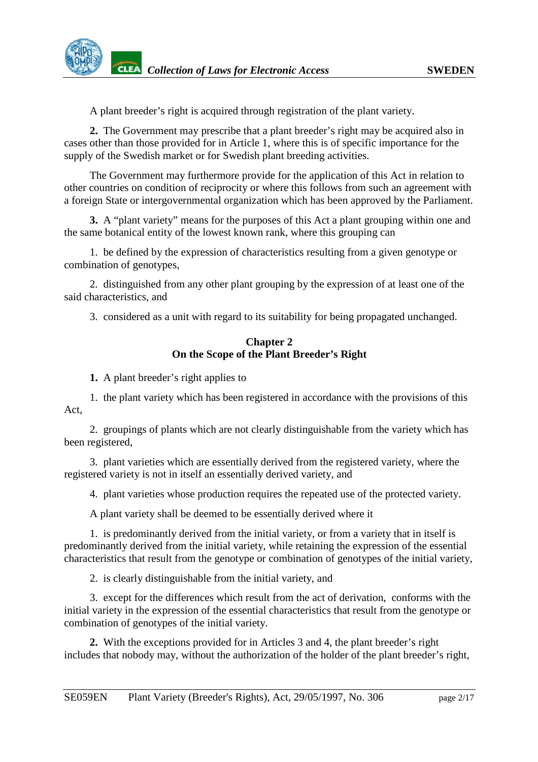<span id="page-1-0"></span>A plant breeder's right is acquired through registration of the plant variety.

**2.** The Government may prescribe that a plant breeder's right may be acquired also in cases other than those provided for in Article 1, where this is of specific importance for the supply of the Swedish market or for Swedish plant breeding activities.

The Government may furthermore provide for the application of this Act in relation to other countries on condition of reciprocity or where this follows from such an agreement with a foreign State or intergovernmental organization which has been approved by the Parliament.

**3.** A "plant variety" means for the purposes of this Act a plant grouping within one and the same botanical entity of the lowest known rank, where this grouping can

1. be defined by the expression of characteristics resulting from a given genotype or combination of genotypes,

2. distinguished from any other plant grouping by the expression of at least one of the said characteristics, and

3. considered as a unit with regard to its suitability for being propagated unchanged.

#### **Chapter 2 On the Scope of the Plant Breeder's Right**

**1.** A plant breeder's right applies to

1. the plant variety which has been registered in accordance with the provisions of this Act,

2. groupings of plants which are not clearly distinguishable from the variety which has been registered,

3. plant varieties which are essentially derived from the registered variety, where the registered variety is not in itself an essentially derived variety, and

4. plant varieties whose production requires the repeated use of the protected variety.

A plant variety shall be deemed to be essentially derived where it

1. is predominantly derived from the initial variety, or from a variety that in itself is predominantly derived from the initial variety, while retaining the expression of the essential characteristics that result from the genotype or combination of genotypes of the initial variety,

2. is clearly distinguishable from the initial variety, and

3. except for the differences which result from the act of derivation, conforms with the initial variety in the expression of the essential characteristics that result from the genotype or combination of genotypes of the initial variety.

**2.** With the exceptions provided for in Articles 3 and 4, the plant breeder's right includes that nobody may, without the authorization of the holder of the plant breeder's right,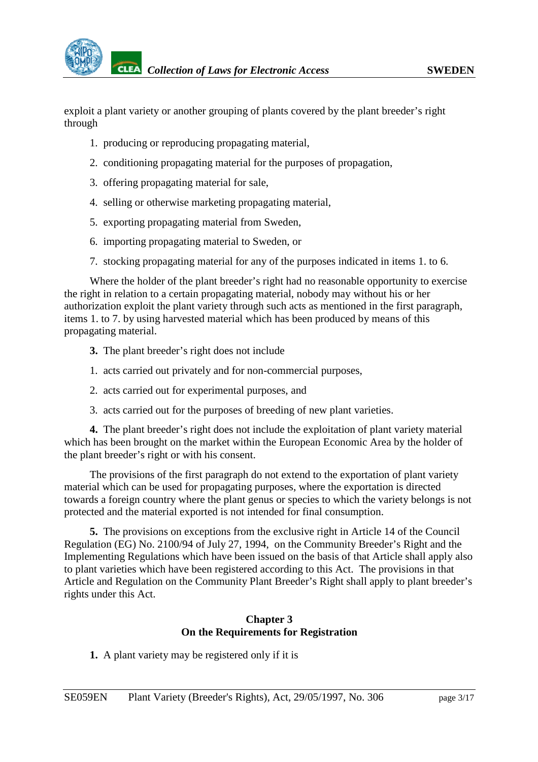<span id="page-2-0"></span>exploit a plant variety or another grouping of plants covered by the plant breeder's right through

- 1. producing or reproducing propagating material,
- 2. conditioning propagating material for the purposes of propagation,
- 3. offering propagating material for sale,
- 4. selling or otherwise marketing propagating material,
- 5. exporting propagating material from Sweden,
- 6. importing propagating material to Sweden, or
- 7. stocking propagating material for any of the purposes indicated in items 1. to 6.

Where the holder of the plant breeder's right had no reasonable opportunity to exercise the right in relation to a certain propagating material, nobody may without his or her authorization exploit the plant variety through such acts as mentioned in the first paragraph, items 1. to 7. by using harvested material which has been produced by means of this propagating material.

- **3.** The plant breeder's right does not include
- 1. acts carried out privately and for non-commercial purposes,
- 2. acts carried out for experimental purposes, and
- 3. acts carried out for the purposes of breeding of new plant varieties.

**4.** The plant breeder's right does not include the exploitation of plant variety material which has been brought on the market within the European Economic Area by the holder of the plant breeder's right or with his consent.

The provisions of the first paragraph do not extend to the exportation of plant variety material which can be used for propagating purposes, where the exportation is directed towards a foreign country where the plant genus or species to which the variety belongs is not protected and the material exported is not intended for final consumption.

**5.** The provisions on exceptions from the exclusive right in Article 14 of the Council Regulation (EG) No. 2100/94 of July 27, 1994, on the Community Breeder's Right and the Implementing Regulations which have been issued on the basis of that Article shall apply also to plant varieties which have been registered according to this Act. The provisions in that Article and Regulation on the Community Plant Breeder's Right shall apply to plant breeder's rights under this Act.

# **Chapter 3 On the Requirements for Registration**

**1.** A plant variety may be registered only if it is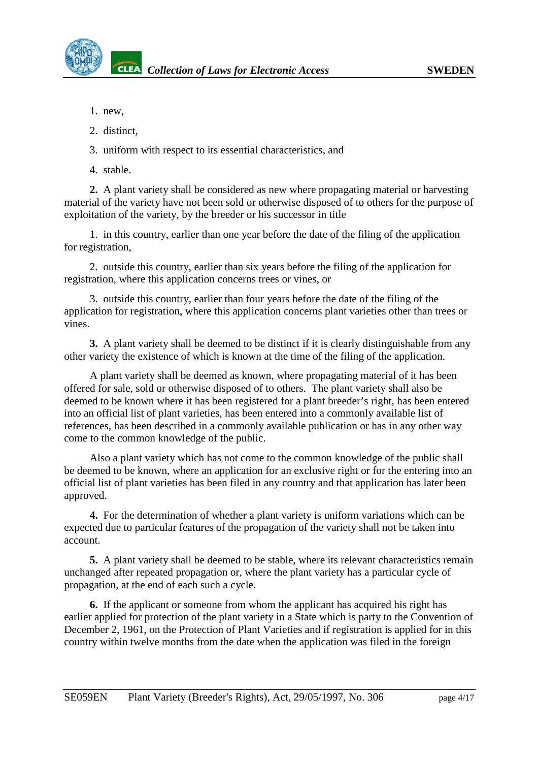- 1. new,
- 2. distinct,
- 3. uniform with respect to its essential characteristics, and
- 4. stable.

**2.** A plant variety shall be considered as new where propagating material or harvesting material of the variety have not been sold or otherwise disposed of to others for the purpose of exploitation of the variety, by the breeder or his successor in title

1. in this country, earlier than one year before the date of the filing of the application for registration,

2. outside this country, earlier than six years before the filing of the application for registration, where this application concerns trees or vines, or

3. outside this country, earlier than four years before the date of the filing of the application for registration, where this application concerns plant varieties other than trees or vines.

**3.** A plant variety shall be deemed to be distinct if it is clearly distinguishable from any other variety the existence of which is known at the time of the filing of the application.

A plant variety shall be deemed as known, where propagating material of it has been offered for sale, sold or otherwise disposed of to others. The plant variety shall also be deemed to be known where it has been registered for a plant breeder's right, has been entered into an official list of plant varieties, has been entered into a commonly available list of references, has been described in a commonly available publication or has in any other way come to the common knowledge of the public.

Also a plant variety which has not come to the common knowledge of the public shall be deemed to be known, where an application for an exclusive right or for the entering into an official list of plant varieties has been filed in any country and that application has later been approved.

**4.** For the determination of whether a plant variety is uniform variations which can be expected due to particular features of the propagation of the variety shall not be taken into account.

**5.** A plant variety shall be deemed to be stable, where its relevant characteristics remain unchanged after repeated propagation or, where the plant variety has a particular cycle of propagation, at the end of each such a cycle.

**6.** If the applicant or someone from whom the applicant has acquired his right has earlier applied for protection of the plant variety in a State which is party to the Convention of December 2, 1961, on the Protection of Plant Varieties and if registration is applied for in this country within twelve months from the date when the application was filed in the foreign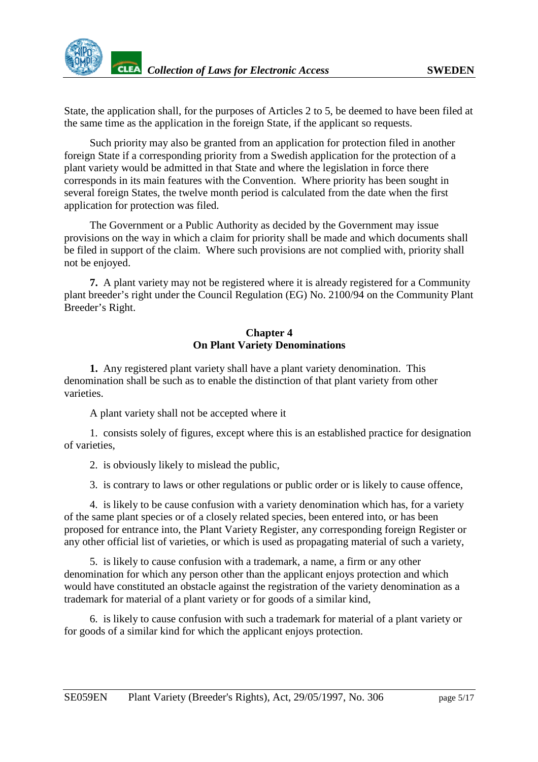<span id="page-4-0"></span>State, the application shall, for the purposes of Articles 2 to 5, be deemed to have been filed at the same time as the application in the foreign State, if the applicant so requests.

Such priority may also be granted from an application for protection filed in another foreign State if a corresponding priority from a Swedish application for the protection of a plant variety would be admitted in that State and where the legislation in force there corresponds in its main features with the Convention. Where priority has been sought in several foreign States, the twelve month period is calculated from the date when the first application for protection was filed.

The Government or a Public Authority as decided by the Government may issue provisions on the way in which a claim for priority shall be made and which documents shall be filed in support of the claim. Where such provisions are not complied with, priority shall not be enjoyed.

**7.** A plant variety may not be registered where it is already registered for a Community plant breeder's right under the Council Regulation (EG) No. 2100/94 on the Community Plant Breeder's Right.

#### **Chapter 4 On Plant Variety Denominations**

**1.** Any registered plant variety shall have a plant variety denomination. This denomination shall be such as to enable the distinction of that plant variety from other varieties.

A plant variety shall not be accepted where it

1. consists solely of figures, except where this is an established practice for designation of varieties,

2. is obviously likely to mislead the public,

3. is contrary to laws or other regulations or public order or is likely to cause offence,

4. is likely to be cause confusion with a variety denomination which has, for a variety of the same plant species or of a closely related species, been entered into, or has been proposed for entrance into, the Plant Variety Register, any corresponding foreign Register or any other official list of varieties, or which is used as propagating material of such a variety,

5. is likely to cause confusion with a trademark, a name, a firm or any other denomination for which any person other than the applicant enjoys protection and which would have constituted an obstacle against the registration of the variety denomination as a trademark for material of a plant variety or for goods of a similar kind,

6. is likely to cause confusion with such a trademark for material of a plant variety or for goods of a similar kind for which the applicant enjoys protection.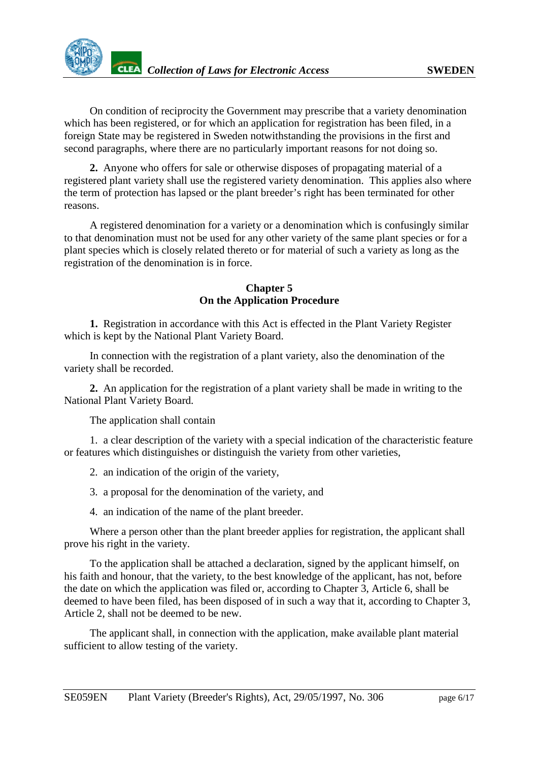<span id="page-5-0"></span>

On condition of reciprocity the Government may prescribe that a variety denomination which has been registered, or for which an application for registration has been filed, in a foreign State may be registered in Sweden notwithstanding the provisions in the first and second paragraphs, where there are no particularly important reasons for not doing so.

**2.** Anyone who offers for sale or otherwise disposes of propagating material of a registered plant variety shall use the registered variety denomination. This applies also where the term of protection has lapsed or the plant breeder's right has been terminated for other reasons.

A registered denomination for a variety or a denomination which is confusingly similar to that denomination must not be used for any other variety of the same plant species or for a plant species which is closely related thereto or for material of such a variety as long as the registration of the denomination is in force.

#### **Chapter 5 On the Application Procedure**

**1.** Registration in accordance with this Act is effected in the Plant Variety Register which is kept by the National Plant Variety Board.

In connection with the registration of a plant variety, also the denomination of the variety shall be recorded.

**2.** An application for the registration of a plant variety shall be made in writing to the National Plant Variety Board.

The application shall contain

1. a clear description of the variety with a special indication of the characteristic feature or features which distinguishes or distinguish the variety from other varieties,

2. an indication of the origin of the variety,

3. a proposal for the denomination of the variety, and

4. an indication of the name of the plant breeder.

Where a person other than the plant breeder applies for registration, the applicant shall prove his right in the variety.

To the application shall be attached a declaration, signed by the applicant himself, on his faith and honour, that the variety, to the best knowledge of the applicant, has not, before the date on which the application was filed or, according to Chapter 3, Article 6, shall be deemed to have been filed, has been disposed of in such a way that it, according to Chapter 3, Article 2, shall not be deemed to be new.

The applicant shall, in connection with the application, make available plant material sufficient to allow testing of the variety.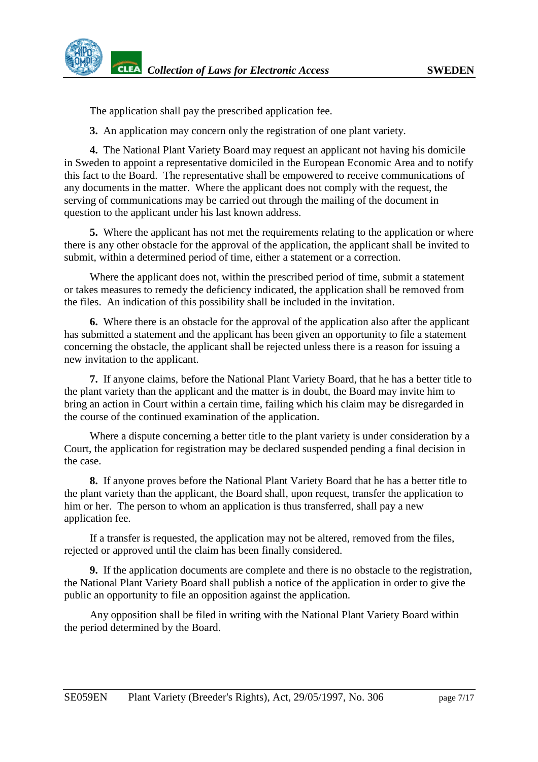The application shall pay the prescribed application fee.

**3.** An application may concern only the registration of one plant variety.

**4.** The National Plant Variety Board may request an applicant not having his domicile in Sweden to appoint a representative domiciled in the European Economic Area and to notify this fact to the Board. The representative shall be empowered to receive communications of any documents in the matter. Where the applicant does not comply with the request, the serving of communications may be carried out through the mailing of the document in question to the applicant under his last known address.

**5.** Where the applicant has not met the requirements relating to the application or where there is any other obstacle for the approval of the application, the applicant shall be invited to submit, within a determined period of time, either a statement or a correction.

Where the applicant does not, within the prescribed period of time, submit a statement or takes measures to remedy the deficiency indicated, the application shall be removed from the files. An indication of this possibility shall be included in the invitation.

**6.** Where there is an obstacle for the approval of the application also after the applicant has submitted a statement and the applicant has been given an opportunity to file a statement concerning the obstacle, the applicant shall be rejected unless there is a reason for issuing a new invitation to the applicant.

**7.** If anyone claims, before the National Plant Variety Board, that he has a better title to the plant variety than the applicant and the matter is in doubt, the Board may invite him to bring an action in Court within a certain time, failing which his claim may be disregarded in the course of the continued examination of the application.

Where a dispute concerning a better title to the plant variety is under consideration by a Court, the application for registration may be declared suspended pending a final decision in the case.

**8.** If anyone proves before the National Plant Variety Board that he has a better title to the plant variety than the applicant, the Board shall, upon request, transfer the application to him or her. The person to whom an application is thus transferred, shall pay a new application fee.

If a transfer is requested, the application may not be altered, removed from the files, rejected or approved until the claim has been finally considered.

**9.** If the application documents are complete and there is no obstacle to the registration, the National Plant Variety Board shall publish a notice of the application in order to give the public an opportunity to file an opposition against the application.

Any opposition shall be filed in writing with the National Plant Variety Board within the period determined by the Board.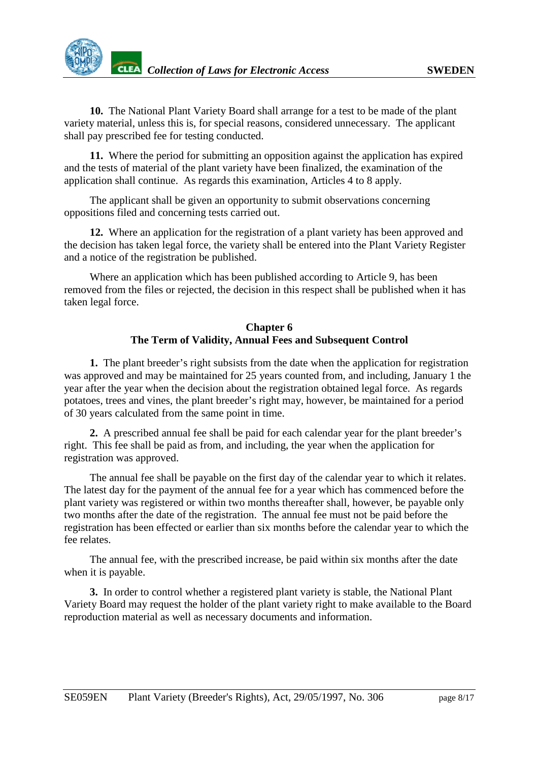<span id="page-7-0"></span>**10.** The National Plant Variety Board shall arrange for a test to be made of the plant variety material, unless this is, for special reasons, considered unnecessary. The applicant shall pay prescribed fee for testing conducted.

**11.** Where the period for submitting an opposition against the application has expired and the tests of material of the plant variety have been finalized, the examination of the application shall continue. As regards this examination, Articles 4 to 8 apply.

The applicant shall be given an opportunity to submit observations concerning oppositions filed and concerning tests carried out.

**12.** Where an application for the registration of a plant variety has been approved and the decision has taken legal force, the variety shall be entered into the Plant Variety Register and a notice of the registration be published.

Where an application which has been published according to Article 9, has been removed from the files or rejected, the decision in this respect shall be published when it has taken legal force.

# **Chapter 6 The Term of Validity, Annual Fees and Subsequent Control**

**1.** The plant breeder's right subsists from the date when the application for registration was approved and may be maintained for 25 years counted from, and including, January 1 the year after the year when the decision about the registration obtained legal force. As regards potatoes, trees and vines, the plant breeder's right may, however, be maintained for a period of 30 years calculated from the same point in time.

**2.** A prescribed annual fee shall be paid for each calendar year for the plant breeder's right. This fee shall be paid as from, and including, the year when the application for registration was approved.

The annual fee shall be payable on the first day of the calendar year to which it relates. The latest day for the payment of the annual fee for a year which has commenced before the plant variety was registered or within two months thereafter shall, however, be payable only two months after the date of the registration. The annual fee must not be paid before the registration has been effected or earlier than six months before the calendar year to which the fee relates.

The annual fee, with the prescribed increase, be paid within six months after the date when it is payable.

**3.** In order to control whether a registered plant variety is stable, the National Plant Variety Board may request the holder of the plant variety right to make available to the Board reproduction material as well as necessary documents and information.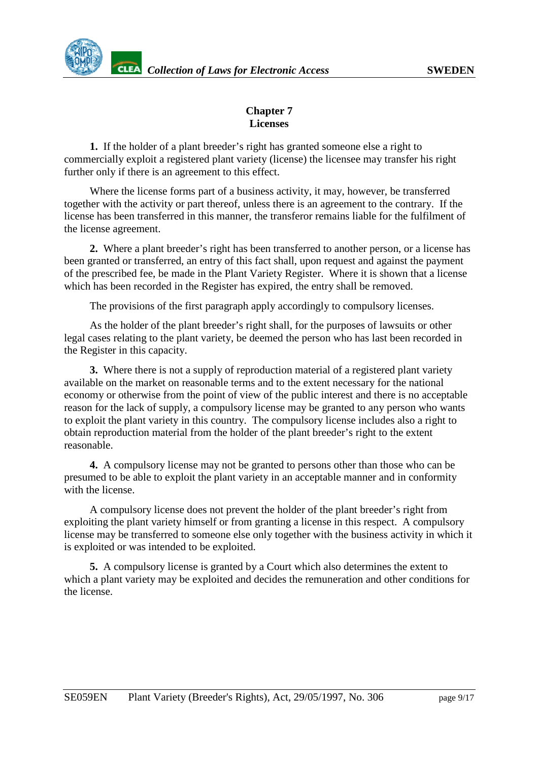# **Chapter 7 Licenses**

<span id="page-8-0"></span>**1.** If the holder of a plant breeder's right has granted someone else a right to commercially exploit a registered plant variety (license) the licensee may transfer his right further only if there is an agreement to this effect.

Where the license forms part of a business activity, it may, however, be transferred together with the activity or part thereof, unless there is an agreement to the contrary. If the license has been transferred in this manner, the transferor remains liable for the fulfilment of the license agreement.

**2.** Where a plant breeder's right has been transferred to another person, or a license has been granted or transferred, an entry of this fact shall, upon request and against the payment of the prescribed fee, be made in the Plant Variety Register. Where it is shown that a license which has been recorded in the Register has expired, the entry shall be removed.

The provisions of the first paragraph apply accordingly to compulsory licenses.

As the holder of the plant breeder's right shall, for the purposes of lawsuits or other legal cases relating to the plant variety, be deemed the person who has last been recorded in the Register in this capacity.

**3.** Where there is not a supply of reproduction material of a registered plant variety available on the market on reasonable terms and to the extent necessary for the national economy or otherwise from the point of view of the public interest and there is no acceptable reason for the lack of supply, a compulsory license may be granted to any person who wants to exploit the plant variety in this country. The compulsory license includes also a right to obtain reproduction material from the holder of the plant breeder's right to the extent reasonable.

**4.** A compulsory license may not be granted to persons other than those who can be presumed to be able to exploit the plant variety in an acceptable manner and in conformity with the license.

A compulsory license does not prevent the holder of the plant breeder's right from exploiting the plant variety himself or from granting a license in this respect. A compulsory license may be transferred to someone else only together with the business activity in which it is exploited or was intended to be exploited.

**5.** A compulsory license is granted by a Court which also determines the extent to which a plant variety may be exploited and decides the remuneration and other conditions for the license.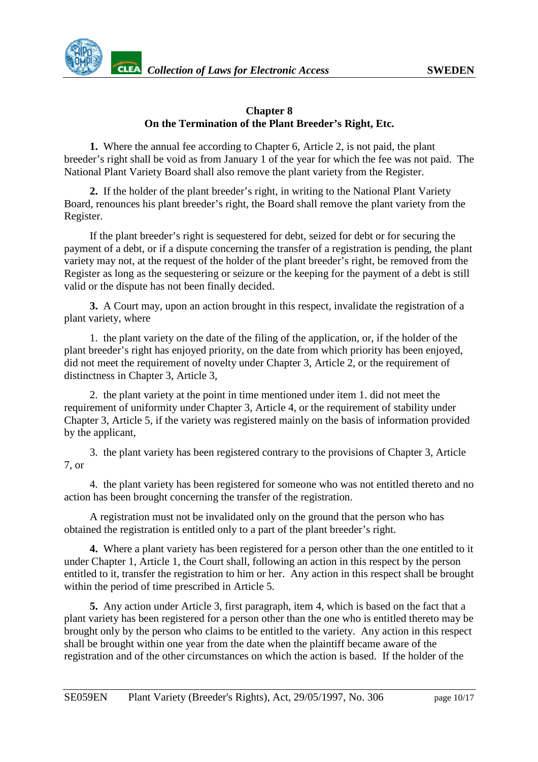<span id="page-9-0"></span>

## **Chapter 8 On the Termination of the Plant Breeder's Right, Etc.**

**1.** Where the annual fee according to Chapter 6, Article 2, is not paid, the plant breeder's right shall be void as from January 1 of the year for which the fee was not paid. The National Plant Variety Board shall also remove the plant variety from the Register.

**2.** If the holder of the plant breeder's right, in writing to the National Plant Variety Board, renounces his plant breeder's right, the Board shall remove the plant variety from the Register.

If the plant breeder's right is sequestered for debt, seized for debt or for securing the payment of a debt, or if a dispute concerning the transfer of a registration is pending, the plant variety may not, at the request of the holder of the plant breeder's right, be removed from the Register as long as the sequestering or seizure or the keeping for the payment of a debt is still valid or the dispute has not been finally decided.

**3.** A Court may, upon an action brought in this respect, invalidate the registration of a plant variety, where

1. the plant variety on the date of the filing of the application, or, if the holder of the plant breeder's right has enjoyed priority, on the date from which priority has been enjoyed, did not meet the requirement of novelty under Chapter 3, Article 2, or the requirement of distinctness in Chapter 3, Article 3,

2. the plant variety at the point in time mentioned under item 1. did not meet the requirement of uniformity under Chapter 3, Article 4, or the requirement of stability under Chapter 3, Article 5, if the variety was registered mainly on the basis of information provided by the applicant,

3. the plant variety has been registered contrary to the provisions of Chapter 3, Article 7, or

4. the plant variety has been registered for someone who was not entitled thereto and no action has been brought concerning the transfer of the registration.

A registration must not be invalidated only on the ground that the person who has obtained the registration is entitled only to a part of the plant breeder's right.

**4.** Where a plant variety has been registered for a person other than the one entitled to it under Chapter 1, Article 1, the Court shall, following an action in this respect by the person entitled to it, transfer the registration to him or her. Any action in this respect shall be brought within the period of time prescribed in Article 5.

**5.** Any action under Article 3, first paragraph, item 4, which is based on the fact that a plant variety has been registered for a person other than the one who is entitled thereto may be brought only by the person who claims to be entitled to the variety. Any action in this respect shall be brought within one year from the date when the plaintiff became aware of the registration and of the other circumstances on which the action is based. If the holder of the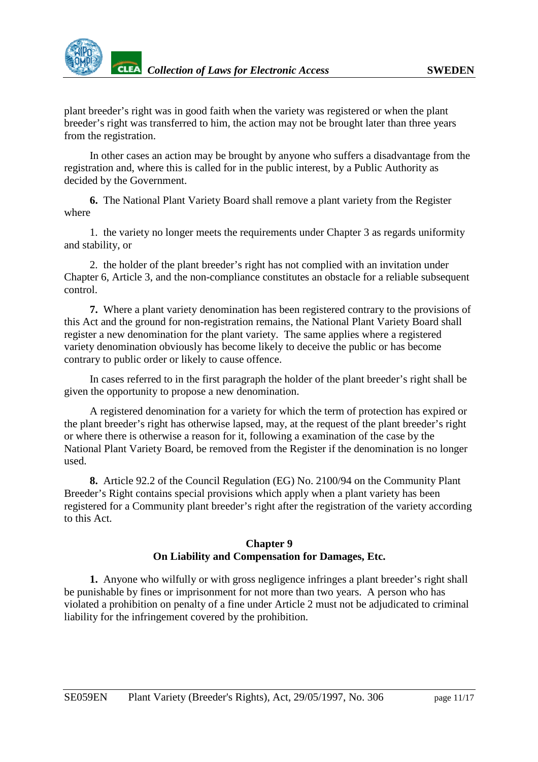<span id="page-10-0"></span>plant breeder's right was in good faith when the variety was registered or when the plant breeder's right was transferred to him, the action may not be brought later than three years from the registration.

In other cases an action may be brought by anyone who suffers a disadvantage from the registration and, where this is called for in the public interest, by a Public Authority as decided by the Government.

**6.** The National Plant Variety Board shall remove a plant variety from the Register where

1. the variety no longer meets the requirements under Chapter 3 as regards uniformity and stability, or

2. the holder of the plant breeder's right has not complied with an invitation under Chapter 6, Article 3, and the non-compliance constitutes an obstacle for a reliable subsequent control.

**7.** Where a plant variety denomination has been registered contrary to the provisions of this Act and the ground for non-registration remains, the National Plant Variety Board shall register a new denomination for the plant variety. The same applies where a registered variety denomination obviously has become likely to deceive the public or has become contrary to public order or likely to cause offence.

In cases referred to in the first paragraph the holder of the plant breeder's right shall be given the opportunity to propose a new denomination.

A registered denomination for a variety for which the term of protection has expired or the plant breeder's right has otherwise lapsed, may, at the request of the plant breeder's right or where there is otherwise a reason for it, following a examination of the case by the National Plant Variety Board, be removed from the Register if the denomination is no longer used.

**8.** Article 92.2 of the Council Regulation (EG) No. 2100/94 on the Community Plant Breeder's Right contains special provisions which apply when a plant variety has been registered for a Community plant breeder's right after the registration of the variety according to this Act.

## **Chapter 9 On Liability and Compensation for Damages, Etc.**

**1.** Anyone who wilfully or with gross negligence infringes a plant breeder's right shall be punishable by fines or imprisonment for not more than two years. A person who has violated a prohibition on penalty of a fine under Article 2 must not be adjudicated to criminal liability for the infringement covered by the prohibition.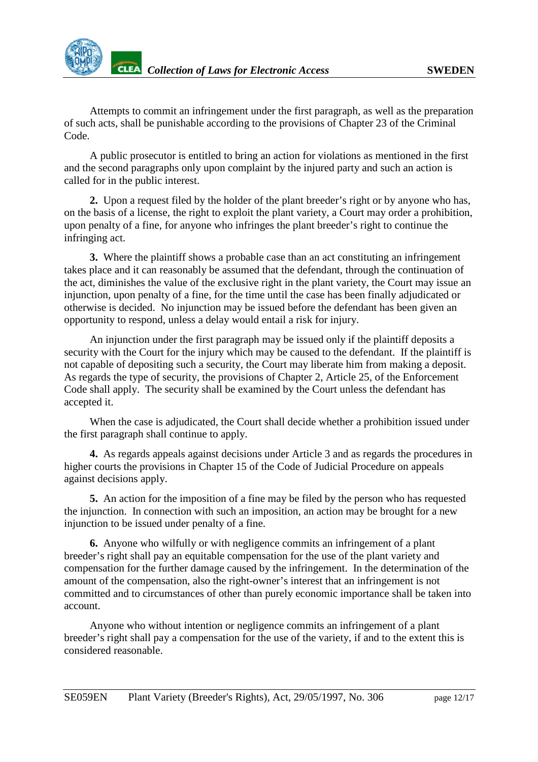

Attempts to commit an infringement under the first paragraph, as well as the preparation of such acts, shall be punishable according to the provisions of Chapter 23 of the Criminal Code.

A public prosecutor is entitled to bring an action for violations as mentioned in the first and the second paragraphs only upon complaint by the injured party and such an action is called for in the public interest.

**2.** Upon a request filed by the holder of the plant breeder's right or by anyone who has, on the basis of a license, the right to exploit the plant variety, a Court may order a prohibition, upon penalty of a fine, for anyone who infringes the plant breeder's right to continue the infringing act.

**3.** Where the plaintiff shows a probable case than an act constituting an infringement takes place and it can reasonably be assumed that the defendant, through the continuation of the act, diminishes the value of the exclusive right in the plant variety, the Court may issue an injunction, upon penalty of a fine, for the time until the case has been finally adjudicated or otherwise is decided. No injunction may be issued before the defendant has been given an opportunity to respond, unless a delay would entail a risk for injury.

An injunction under the first paragraph may be issued only if the plaintiff deposits a security with the Court for the injury which may be caused to the defendant. If the plaintiff is not capable of depositing such a security, the Court may liberate him from making a deposit. As regards the type of security, the provisions of Chapter 2, Article 25, of the Enforcement Code shall apply. The security shall be examined by the Court unless the defendant has accepted it.

When the case is adjudicated, the Court shall decide whether a prohibition issued under the first paragraph shall continue to apply.

**4.** As regards appeals against decisions under Article 3 and as regards the procedures in higher courts the provisions in Chapter 15 of the Code of Judicial Procedure on appeals against decisions apply.

**5.** An action for the imposition of a fine may be filed by the person who has requested the injunction. In connection with such an imposition, an action may be brought for a new injunction to be issued under penalty of a fine.

**6.** Anyone who wilfully or with negligence commits an infringement of a plant breeder's right shall pay an equitable compensation for the use of the plant variety and compensation for the further damage caused by the infringement. In the determination of the amount of the compensation, also the right-owner's interest that an infringement is not committed and to circumstances of other than purely economic importance shall be taken into account.

Anyone who without intention or negligence commits an infringement of a plant breeder's right shall pay a compensation for the use of the variety, if and to the extent this is considered reasonable.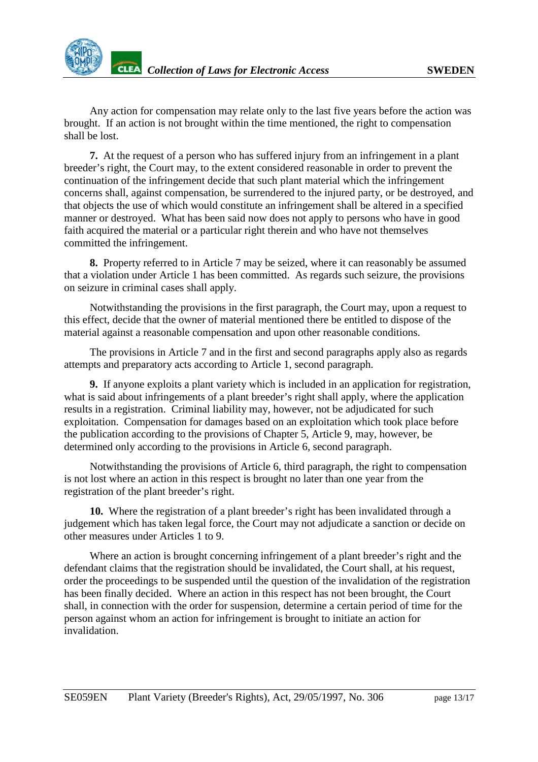Any action for compensation may relate only to the last five years before the action was brought. If an action is not brought within the time mentioned, the right to compensation shall be lost.

**7.** At the request of a person who has suffered injury from an infringement in a plant breeder's right, the Court may, to the extent considered reasonable in order to prevent the continuation of the infringement decide that such plant material which the infringement concerns shall, against compensation, be surrendered to the injured party, or be destroyed, and that objects the use of which would constitute an infringement shall be altered in a specified manner or destroyed. What has been said now does not apply to persons who have in good faith acquired the material or a particular right therein and who have not themselves committed the infringement.

**8.** Property referred to in Article 7 may be seized, where it can reasonably be assumed that a violation under Article 1 has been committed. As regards such seizure, the provisions on seizure in criminal cases shall apply.

Notwithstanding the provisions in the first paragraph, the Court may, upon a request to this effect, decide that the owner of material mentioned there be entitled to dispose of the material against a reasonable compensation and upon other reasonable conditions.

The provisions in Article 7 and in the first and second paragraphs apply also as regards attempts and preparatory acts according to Article 1, second paragraph.

**9.** If anyone exploits a plant variety which is included in an application for registration, what is said about infringements of a plant breeder's right shall apply, where the application results in a registration. Criminal liability may, however, not be adjudicated for such exploitation. Compensation for damages based on an exploitation which took place before the publication according to the provisions of Chapter 5, Article 9, may, however, be determined only according to the provisions in Article 6, second paragraph.

Notwithstanding the provisions of Article 6, third paragraph, the right to compensation is not lost where an action in this respect is brought no later than one year from the registration of the plant breeder's right.

**10.** Where the registration of a plant breeder's right has been invalidated through a judgement which has taken legal force, the Court may not adjudicate a sanction or decide on other measures under Articles 1 to 9.

Where an action is brought concerning infringement of a plant breeder's right and the defendant claims that the registration should be invalidated, the Court shall, at his request, order the proceedings to be suspended until the question of the invalidation of the registration has been finally decided. Where an action in this respect has not been brought, the Court shall, in connection with the order for suspension, determine a certain period of time for the person against whom an action for infringement is brought to initiate an action for invalidation.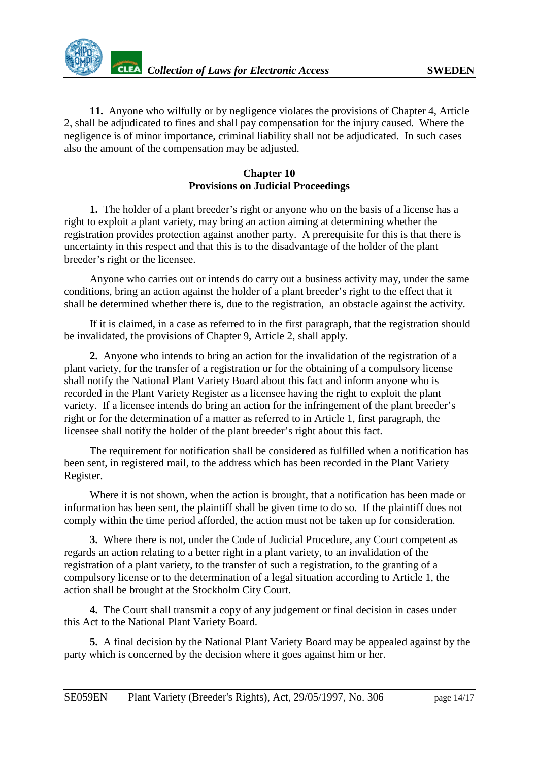<span id="page-13-0"></span>**11.** Anyone who wilfully or by negligence violates the provisions of Chapter 4, Article 2, shall be adjudicated to fines and shall pay compensation for the injury caused. Where the negligence is of minor importance, criminal liability shall not be adjudicated. In such cases also the amount of the compensation may be adjusted.

# **Chapter 10 Provisions on Judicial Proceedings**

**1.** The holder of a plant breeder's right or anyone who on the basis of a license has a right to exploit a plant variety, may bring an action aiming at determining whether the registration provides protection against another party. A prerequisite for this is that there is uncertainty in this respect and that this is to the disadvantage of the holder of the plant breeder's right or the licensee.

Anyone who carries out or intends do carry out a business activity may, under the same conditions, bring an action against the holder of a plant breeder's right to the effect that it shall be determined whether there is, due to the registration, an obstacle against the activity.

If it is claimed, in a case as referred to in the first paragraph, that the registration should be invalidated, the provisions of Chapter 9, Article 2, shall apply.

**2.** Anyone who intends to bring an action for the invalidation of the registration of a plant variety, for the transfer of a registration or for the obtaining of a compulsory license shall notify the National Plant Variety Board about this fact and inform anyone who is recorded in the Plant Variety Register as a licensee having the right to exploit the plant variety. If a licensee intends do bring an action for the infringement of the plant breeder's right or for the determination of a matter as referred to in Article 1, first paragraph, the licensee shall notify the holder of the plant breeder's right about this fact.

The requirement for notification shall be considered as fulfilled when a notification has been sent, in registered mail, to the address which has been recorded in the Plant Variety Register.

Where it is not shown, when the action is brought, that a notification has been made or information has been sent, the plaintiff shall be given time to do so. If the plaintiff does not comply within the time period afforded, the action must not be taken up for consideration.

**3.** Where there is not, under the Code of Judicial Procedure, any Court competent as regards an action relating to a better right in a plant variety, to an invalidation of the registration of a plant variety, to the transfer of such a registration, to the granting of a compulsory license or to the determination of a legal situation according to Article 1, the action shall be brought at the Stockholm City Court.

**4.** The Court shall transmit a copy of any judgement or final decision in cases under this Act to the National Plant Variety Board.

**5.** A final decision by the National Plant Variety Board may be appealed against by the party which is concerned by the decision where it goes against him or her.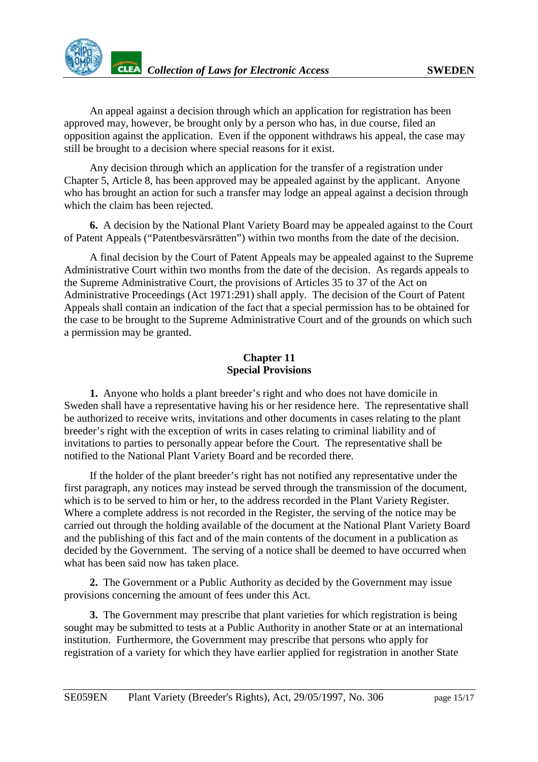<span id="page-14-0"></span>

An appeal against a decision through which an application for registration has been approved may, however, be brought only by a person who has, in due course, filed an opposition against the application. Even if the opponent withdraws his appeal, the case may still be brought to a decision where special reasons for it exist.

Any decision through which an application for the transfer of a registration under Chapter 5, Article 8, has been approved may be appealed against by the applicant. Anyone who has brought an action for such a transfer may lodge an appeal against a decision through which the claim has been rejected.

**6.** A decision by the National Plant Variety Board may be appealed against to the Court of Patent Appeals ("Patentbesvärsrätten") within two months from the date of the decision.

A final decision by the Court of Patent Appeals may be appealed against to the Supreme Administrative Court within two months from the date of the decision. As regards appeals to the Supreme Administrative Court, the provisions of Articles 35 to 37 of the Act on Administrative Proceedings (Act 1971:291) shall apply. The decision of the Court of Patent Appeals shall contain an indication of the fact that a special permission has to be obtained for the case to be brought to the Supreme Administrative Court and of the grounds on which such a permission may be granted.

## **Chapter 11 Special Provisions**

**1.** Anyone who holds a plant breeder's right and who does not have domicile in Sweden shall have a representative having his or her residence here. The representative shall be authorized to receive writs, invitations and other documents in cases relating to the plant breeder's right with the exception of writs in cases relating to criminal liability and of invitations to parties to personally appear before the Court. The representative shall be notified to the National Plant Variety Board and be recorded there.

If the holder of the plant breeder's right has not notified any representative under the first paragraph, any notices may instead be served through the transmission of the document, which is to be served to him or her, to the address recorded in the Plant Variety Register. Where a complete address is not recorded in the Register, the serving of the notice may be carried out through the holding available of the document at the National Plant Variety Board and the publishing of this fact and of the main contents of the document in a publication as decided by the Government. The serving of a notice shall be deemed to have occurred when what has been said now has taken place.

**2.** The Government or a Public Authority as decided by the Government may issue provisions concerning the amount of fees under this Act.

**3.** The Government may prescribe that plant varieties for which registration is being sought may be submitted to tests at a Public Authority in another State or at an international institution. Furthermore, the Government may prescribe that persons who apply for registration of a variety for which they have earlier applied for registration in another State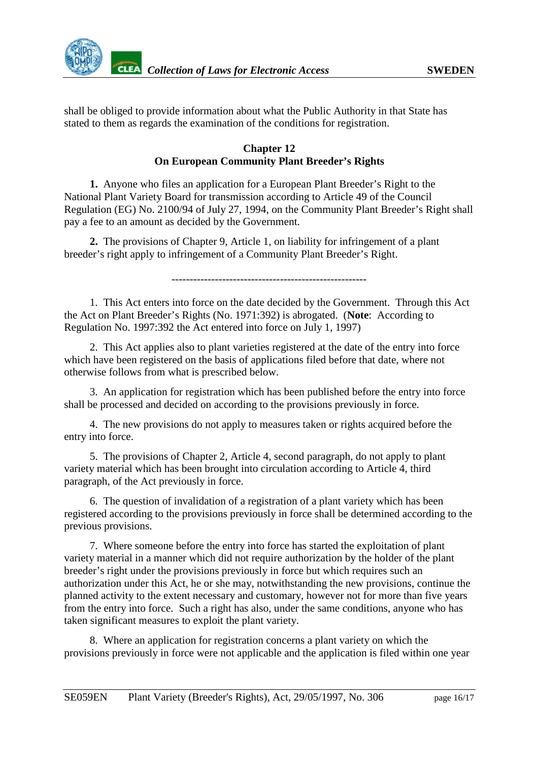<span id="page-15-0"></span>

shall be obliged to provide information about what the Public Authority in that State has stated to them as regards the examination of the conditions for registration.

#### **Chapter 12 On European Community Plant Breeder's Rights**

**1.** Anyone who files an application for a European Plant Breeder's Right to the National Plant Variety Board for transmission according to Article 49 of the Council Regulation (EG) No. 2100/94 of July 27, 1994, on the Community Plant Breeder's Right shall pay a fee to an amount as decided by the Government.

**2.** The provisions of Chapter 9, Article 1, on liability for infringement of a plant breeder's right apply to infringement of a Community Plant Breeder's Right.

------------------------------------------------------

1. This Act enters into force on the date decided by the Government. Through this Act the Act on Plant Breeder's Rights (No. 1971:392) is abrogated. (**Note**: According to Regulation No. 1997:392 the Act entered into force on July 1, 1997)

2. This Act applies also to plant varieties registered at the date of the entry into force which have been registered on the basis of applications filed before that date, where not otherwise follows from what is prescribed below.

3. An application for registration which has been published before the entry into force shall be processed and decided on according to the provisions previously in force.

4. The new provisions do not apply to measures taken or rights acquired before the entry into force.

5. The provisions of Chapter 2, Article 4, second paragraph, do not apply to plant variety material which has been brought into circulation according to Article 4, third paragraph, of the Act previously in force.

6. The question of invalidation of a registration of a plant variety which has been registered according to the provisions previously in force shall be determined according to the previous provisions.

7. Where someone before the entry into force has started the exploitation of plant variety material in a manner which did not require authorization by the holder of the plant breeder's right under the provisions previously in force but which requires such an authorization under this Act, he or she may, notwithstanding the new provisions, continue the planned activity to the extent necessary and customary, however not for more than five years from the entry into force. Such a right has also, under the same conditions, anyone who has taken significant measures to exploit the plant variety.

8. Where an application for registration concerns a plant variety on which the provisions previously in force were not applicable and the application is filed within one year